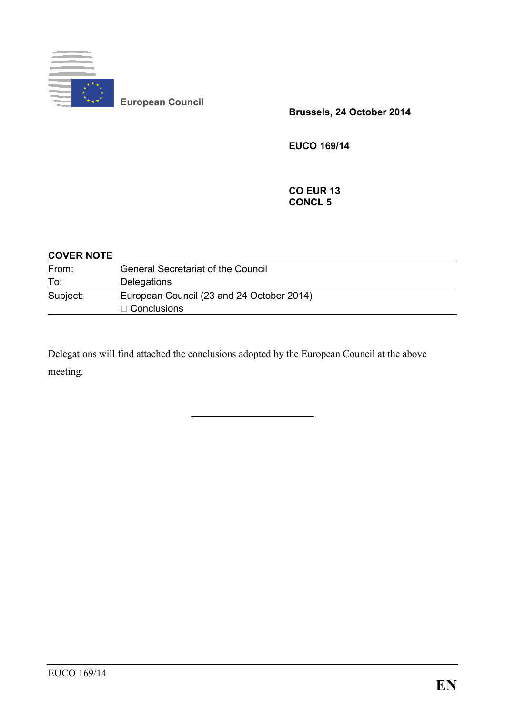

**European Council** 

**Brussels, 24 October 2014** 

**EUCO 169/14** 

**CO EUR 13 CONCL 5** 

#### **COVER NOTE**

| From:    | <b>General Secretariat of the Council</b> |
|----------|-------------------------------------------|
| To:      | Delegations                               |
| Subject: | European Council (23 and 24 October 2014) |
|          | $\Box$ Conclusions                        |

Delegations will find attached the conclusions adopted by the European Council at the above meeting.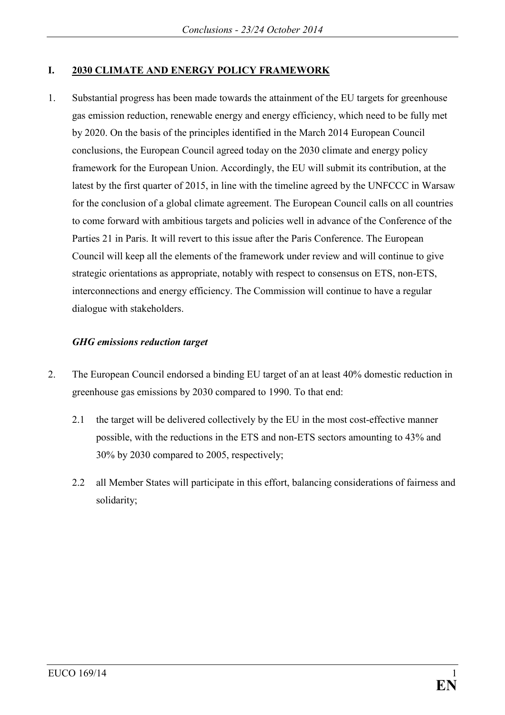### **I. 2030 CLIMATE AND ENERGY POLICY FRAMEWORK**

1. Substantial progress has been made towards the attainment of the EU targets for greenhouse gas emission reduction, renewable energy and energy efficiency, which need to be fully met by 2020. On the basis of the principles identified in the March 2014 European Council conclusions, the European Council agreed today on the 2030 climate and energy policy framework for the European Union. Accordingly, the EU will submit its contribution, at the latest by the first quarter of 2015, in line with the timeline agreed by the UNFCCC in Warsaw for the conclusion of a global climate agreement. The European Council calls on all countries to come forward with ambitious targets and policies well in advance of the Conference of the Parties 21 in Paris. It will revert to this issue after the Paris Conference. The European Council will keep all the elements of the framework under review and will continue to give strategic orientations as appropriate, notably with respect to consensus on ETS, non-ETS, interconnections and energy efficiency. The Commission will continue to have a regular dialogue with stakeholders.

### *GHG emissions reduction target*

- 2. The European Council endorsed a binding EU target of an at least 40% domestic reduction in greenhouse gas emissions by 2030 compared to 1990. To that end:
	- 2.1 the target will be delivered collectively by the EU in the most cost-effective manner possible, with the reductions in the ETS and non-ETS sectors amounting to 43% and 30% by 2030 compared to 2005, respectively;
	- 2.2 all Member States will participate in this effort, balancing considerations of fairness and solidarity;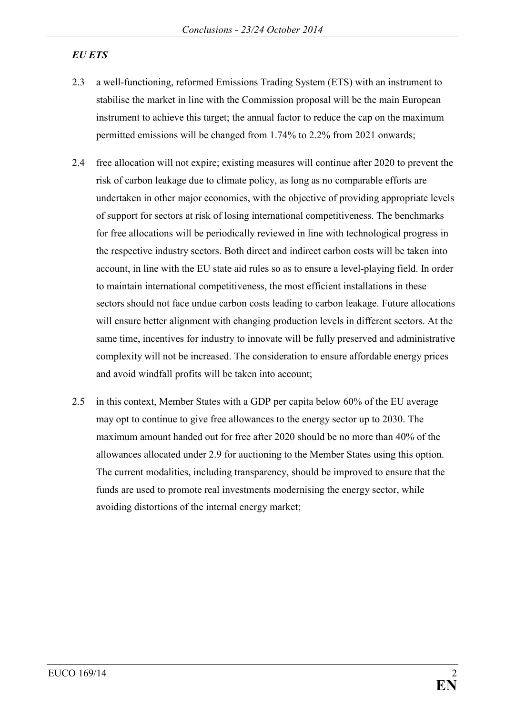# *EU ETS*

- 2.3 a well-functioning, reformed Emissions Trading System (ETS) with an instrument to stabilise the market in line with the Commission proposal will be the main European instrument to achieve this target; the annual factor to reduce the cap on the maximum permitted emissions will be changed from 1.74% to 2.2% from 2021 onwards;
- 2.4 free allocation will not expire; existing measures will continue after 2020 to prevent the risk of carbon leakage due to climate policy, as long as no comparable efforts are undertaken in other major economies, with the objective of providing appropriate levels of support for sectors at risk of losing international competitiveness. The benchmarks for free allocations will be periodically reviewed in line with technological progress in the respective industry sectors. Both direct and indirect carbon costs will be taken into account, in line with the EU state aid rules so as to ensure a level-playing field. In order to maintain international competitiveness, the most efficient installations in these sectors should not face undue carbon costs leading to carbon leakage. Future allocations will ensure better alignment with changing production levels in different sectors. At the same time, incentives for industry to innovate will be fully preserved and administrative complexity will not be increased. The consideration to ensure affordable energy prices and avoid windfall profits will be taken into account;
- 2.5 in this context, Member States with a GDP per capita below 60% of the EU average may opt to continue to give free allowances to the energy sector up to 2030. The maximum amount handed out for free after 2020 should be no more than 40% of the allowances allocated under 2.9 for auctioning to the Member States using this option. The current modalities, including transparency, should be improved to ensure that the funds are used to promote real investments modernising the energy sector, while avoiding distortions of the internal energy market;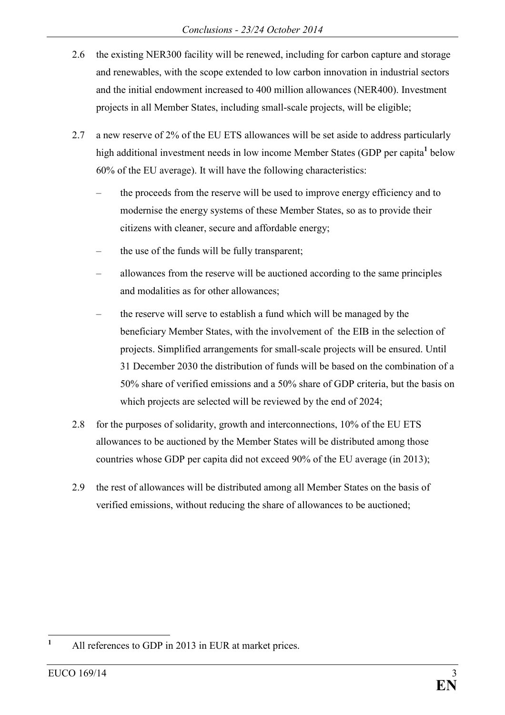- 2.6 the existing NER300 facility will be renewed, including for carbon capture and storage and renewables, with the scope extended to low carbon innovation in industrial sectors and the initial endowment increased to 400 million allowances (NER400). Investment projects in all Member States, including small-scale projects, will be eligible;
- 2.7 a new reserve of 2% of the EU ETS allowances will be set aside to address particularly high additional investment needs in low income Member States (GDP per capita<sup>1</sup> below 60% of the EU average). It will have the following characteristics:
	- the proceeds from the reserve will be used to improve energy efficiency and to modernise the energy systems of these Member States, so as to provide their citizens with cleaner, secure and affordable energy;
	- the use of the funds will be fully transparent;
	- allowances from the reserve will be auctioned according to the same principles and modalities as for other allowances;
	- the reserve will serve to establish a fund which will be managed by the beneficiary Member States, with the involvement of the EIB in the selection of projects. Simplified arrangements for small-scale projects will be ensured. Until 31 December 2030 the distribution of funds will be based on the combination of a 50% share of verified emissions and a 50% share of GDP criteria, but the basis on which projects are selected will be reviewed by the end of 2024;
- 2.8 for the purposes of solidarity, growth and interconnections, 10% of the EU ETS allowances to be auctioned by the Member States will be distributed among those countries whose GDP per capita did not exceed 90% of the EU average (in 2013);
- 2.9 the rest of allowances will be distributed among all Member States on the basis of verified emissions, without reducing the share of allowances to be auctioned;

 **1** All references to GDP in 2013 in EUR at market prices.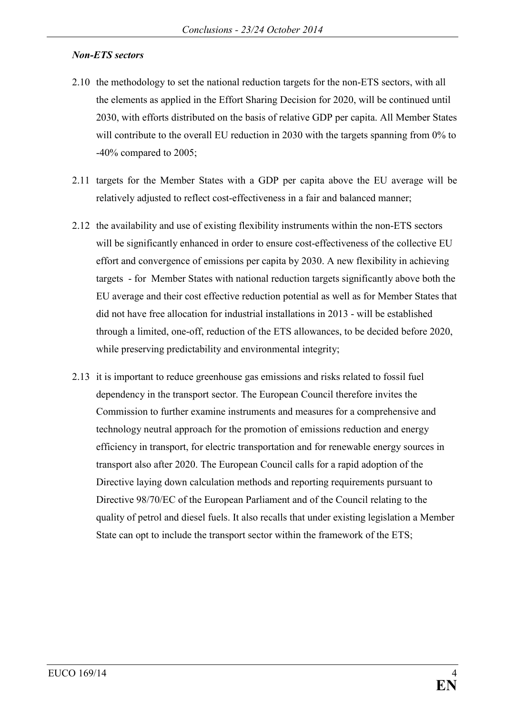## *Non-ETS sectors*

- 2.10 the methodology to set the national reduction targets for the non-ETS sectors, with all the elements as applied in the Effort Sharing Decision for 2020, will be continued until 2030, with efforts distributed on the basis of relative GDP per capita. All Member States will contribute to the overall EU reduction in 2030 with the targets spanning from 0% to -40% compared to 2005;
- 2.11 targets for the Member States with a GDP per capita above the EU average will be relatively adjusted to reflect cost-effectiveness in a fair and balanced manner;
- 2.12 the availability and use of existing flexibility instruments within the non-ETS sectors will be significantly enhanced in order to ensure cost-effectiveness of the collective EU effort and convergence of emissions per capita by 2030. A new flexibility in achieving targets - for Member States with national reduction targets significantly above both the EU average and their cost effective reduction potential as well as for Member States that did not have free allocation for industrial installations in 2013 - will be established through a limited, one-off, reduction of the ETS allowances, to be decided before 2020, while preserving predictability and environmental integrity;
- 2.13 it is important to reduce greenhouse gas emissions and risks related to fossil fuel dependency in the transport sector. The European Council therefore invites the Commission to further examine instruments and measures for a comprehensive and technology neutral approach for the promotion of emissions reduction and energy efficiency in transport, for electric transportation and for renewable energy sources in transport also after 2020. The European Council calls for a rapid adoption of the Directive laying down calculation methods and reporting requirements pursuant to Directive 98/70/EC of the European Parliament and of the Council relating to the quality of petrol and diesel fuels. It also recalls that under existing legislation a Member State can opt to include the transport sector within the framework of the ETS;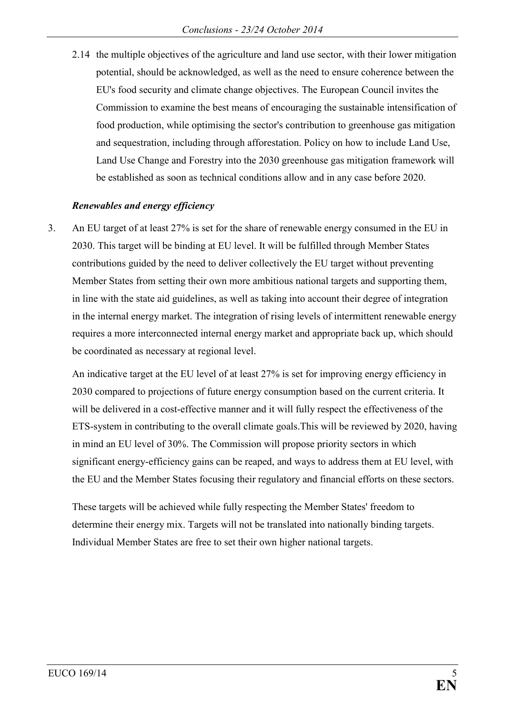2.14 the multiple objectives of the agriculture and land use sector, with their lower mitigation potential, should be acknowledged, as well as the need to ensure coherence between the EU's food security and climate change objectives. The European Council invites the Commission to examine the best means of encouraging the sustainable intensification of food production, while optimising the sector's contribution to greenhouse gas mitigation and sequestration, including through afforestation. Policy on how to include Land Use, Land Use Change and Forestry into the 2030 greenhouse gas mitigation framework will be established as soon as technical conditions allow and in any case before 2020.

### *Renewables and energy efficiency*

3. An EU target of at least 27% is set for the share of renewable energy consumed in the EU in 2030. This target will be binding at EU level. It will be fulfilled through Member States contributions guided by the need to deliver collectively the EU target without preventing Member States from setting their own more ambitious national targets and supporting them, in line with the state aid guidelines, as well as taking into account their degree of integration in the internal energy market. The integration of rising levels of intermittent renewable energy requires a more interconnected internal energy market and appropriate back up, which should be coordinated as necessary at regional level.

An indicative target at the EU level of at least 27% is set for improving energy efficiency in 2030 compared to projections of future energy consumption based on the current criteria. It will be delivered in a cost-effective manner and it will fully respect the effectiveness of the ETS-system in contributing to the overall climate goals.This will be reviewed by 2020, having in mind an EU level of 30%. The Commission will propose priority sectors in which significant energy-efficiency gains can be reaped, and ways to address them at EU level, with the EU and the Member States focusing their regulatory and financial efforts on these sectors.

These targets will be achieved while fully respecting the Member States' freedom to determine their energy mix. Targets will not be translated into nationally binding targets. Individual Member States are free to set their own higher national targets.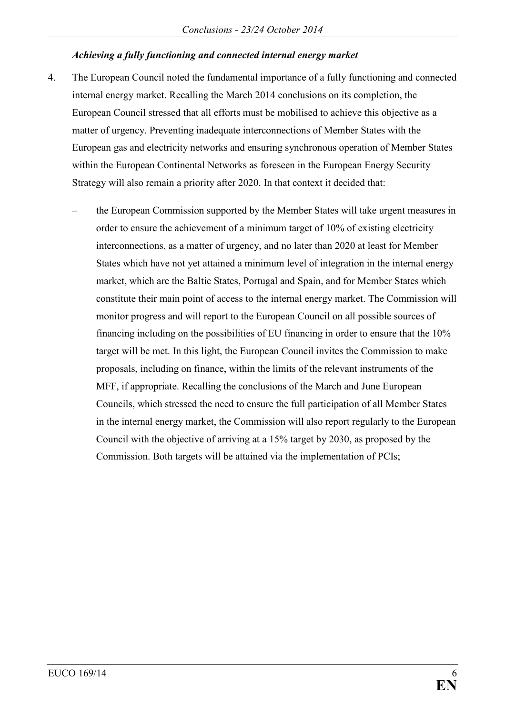### *Achieving a fully functioning and connected internal energy market*

- 4. The European Council noted the fundamental importance of a fully functioning and connected internal energy market. Recalling the March 2014 conclusions on its completion, the European Council stressed that all efforts must be mobilised to achieve this objective as a matter of urgency. Preventing inadequate interconnections of Member States with the European gas and electricity networks and ensuring synchronous operation of Member States within the European Continental Networks as foreseen in the European Energy Security Strategy will also remain a priority after 2020. In that context it decided that:
	- the European Commission supported by the Member States will take urgent measures in order to ensure the achievement of a minimum target of 10% of existing electricity interconnections, as a matter of urgency, and no later than 2020 at least for Member States which have not yet attained a minimum level of integration in the internal energy market, which are the Baltic States, Portugal and Spain, and for Member States which constitute their main point of access to the internal energy market. The Commission will monitor progress and will report to the European Council on all possible sources of financing including on the possibilities of EU financing in order to ensure that the 10% target will be met. In this light, the European Council invites the Commission to make proposals, including on finance, within the limits of the relevant instruments of the MFF, if appropriate. Recalling the conclusions of the March and June European Councils, which stressed the need to ensure the full participation of all Member States in the internal energy market, the Commission will also report regularly to the European Council with the objective of arriving at a 15% target by 2030, as proposed by the Commission. Both targets will be attained via the implementation of PCIs;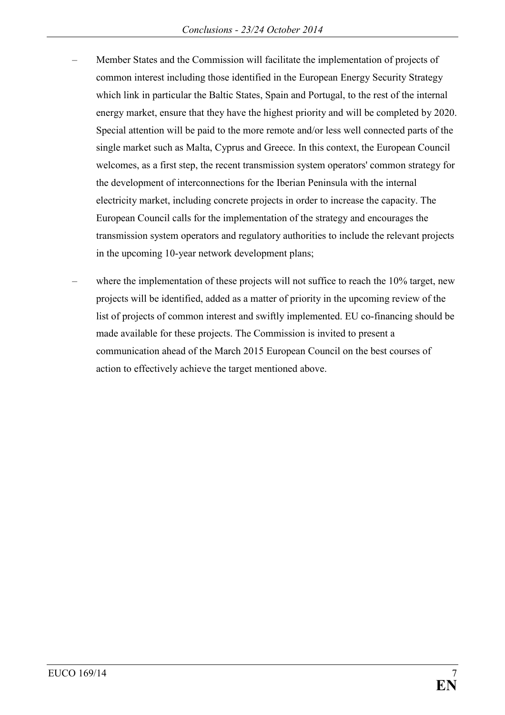- Member States and the Commission will facilitate the implementation of projects of common interest including those identified in the European Energy Security Strategy which link in particular the Baltic States, Spain and Portugal, to the rest of the internal energy market, ensure that they have the highest priority and will be completed by 2020. Special attention will be paid to the more remote and/or less well connected parts of the single market such as Malta, Cyprus and Greece. In this context, the European Council welcomes, as a first step, the recent transmission system operators' common strategy for the development of interconnections for the Iberian Peninsula with the internal electricity market, including concrete projects in order to increase the capacity. The European Council calls for the implementation of the strategy and encourages the transmission system operators and regulatory authorities to include the relevant projects in the upcoming 10-year network development plans;
- where the implementation of these projects will not suffice to reach the 10% target, new projects will be identified, added as a matter of priority in the upcoming review of the list of projects of common interest and swiftly implemented. EU co-financing should be made available for these projects. The Commission is invited to present a communication ahead of the March 2015 European Council on the best courses of action to effectively achieve the target mentioned above.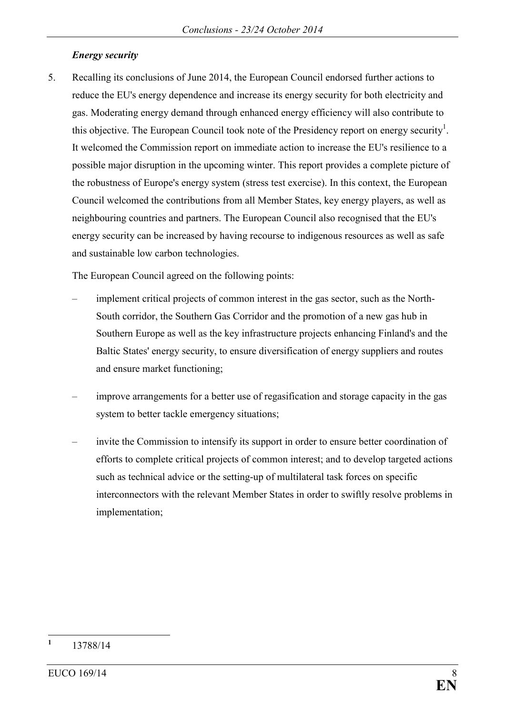## *Energy security*

5. Recalling its conclusions of June 2014, the European Council endorsed further actions to reduce the EU's energy dependence and increase its energy security for both electricity and gas. Moderating energy demand through enhanced energy efficiency will also contribute to this objective. The European Council took note of the Presidency report on energy security<sup>1</sup>. It welcomed the Commission report on immediate action to increase the EU's resilience to a possible major disruption in the upcoming winter. This report provides a complete picture of the robustness of Europe's energy system (stress test exercise). In this context, the European Council welcomed the contributions from all Member States, key energy players, as well as neighbouring countries and partners. The European Council also recognised that the EU's energy security can be increased by having recourse to indigenous resources as well as safe and sustainable low carbon technologies.

The European Council agreed on the following points:

- implement critical projects of common interest in the gas sector, such as the North-South corridor, the Southern Gas Corridor and the promotion of a new gas hub in Southern Europe as well as the key infrastructure projects enhancing Finland's and the Baltic States' energy security, to ensure diversification of energy suppliers and routes and ensure market functioning;
- improve arrangements for a better use of regasification and storage capacity in the gas system to better tackle emergency situations;
- invite the Commission to intensify its support in order to ensure better coordination of efforts to complete critical projects of common interest; and to develop targeted actions such as technical advice or the setting-up of multilateral task forces on specific interconnectors with the relevant Member States in order to swiftly resolve problems in implementation;

 **1** 13788/14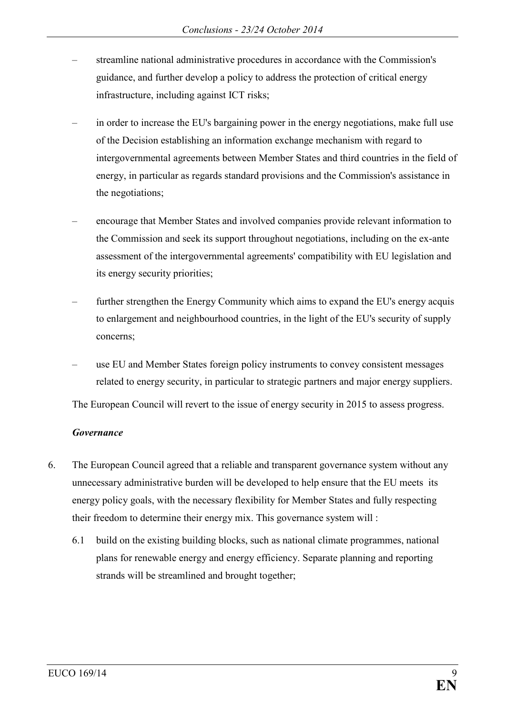- streamline national administrative procedures in accordance with the Commission's guidance, and further develop a policy to address the protection of critical energy infrastructure, including against ICT risks;
- in order to increase the EU's bargaining power in the energy negotiations, make full use of the Decision establishing an information exchange mechanism with regard to intergovernmental agreements between Member States and third countries in the field of energy, in particular as regards standard provisions and the Commission's assistance in the negotiations;
- encourage that Member States and involved companies provide relevant information to the Commission and seek its support throughout negotiations, including on the ex-ante assessment of the intergovernmental agreements' compatibility with EU legislation and its energy security priorities;
- further strengthen the Energy Community which aims to expand the EU's energy acquis to enlargement and neighbourhood countries, in the light of the EU's security of supply concerns;
- use EU and Member States foreign policy instruments to convey consistent messages related to energy security, in particular to strategic partners and major energy suppliers.

The European Council will revert to the issue of energy security in 2015 to assess progress.

### *Governance*

- 6. The European Council agreed that a reliable and transparent governance system without any unnecessary administrative burden will be developed to help ensure that the EU meets its energy policy goals, with the necessary flexibility for Member States and fully respecting their freedom to determine their energy mix. This governance system will :
	- 6.1 build on the existing building blocks, such as national climate programmes, national plans for renewable energy and energy efficiency. Separate planning and reporting strands will be streamlined and brought together;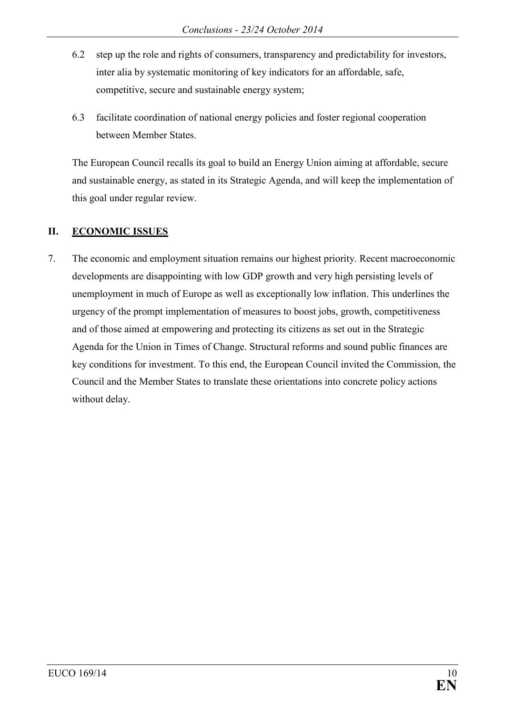- 6.2 step up the role and rights of consumers, transparency and predictability for investors, inter alia by systematic monitoring of key indicators for an affordable, safe, competitive, secure and sustainable energy system;
- 6.3 facilitate coordination of national energy policies and foster regional cooperation between Member States.

The European Council recalls its goal to build an Energy Union aiming at affordable, secure and sustainable energy, as stated in its Strategic Agenda, and will keep the implementation of this goal under regular review.

# **II. ECONOMIC ISSUES**

7. The economic and employment situation remains our highest priority. Recent macroeconomic developments are disappointing with low GDP growth and very high persisting levels of unemployment in much of Europe as well as exceptionally low inflation. This underlines the urgency of the prompt implementation of measures to boost jobs, growth, competitiveness and of those aimed at empowering and protecting its citizens as set out in the Strategic Agenda for the Union in Times of Change. Structural reforms and sound public finances are key conditions for investment. To this end, the European Council invited the Commission, the Council and the Member States to translate these orientations into concrete policy actions without delay.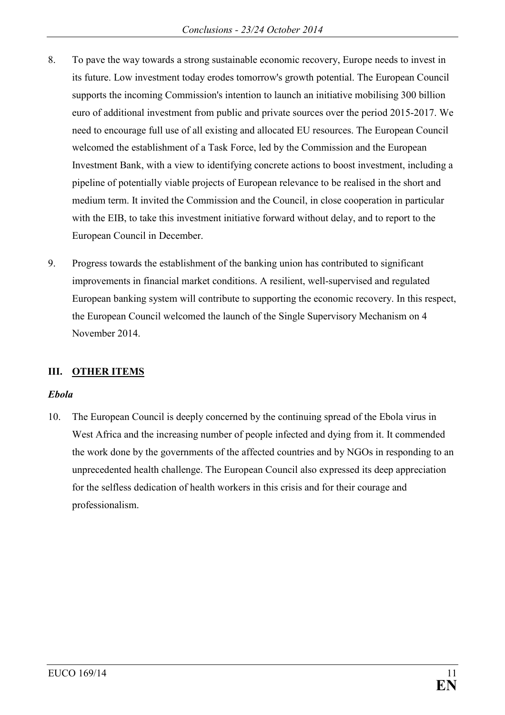- 8. To pave the way towards a strong sustainable economic recovery, Europe needs to invest in its future. Low investment today erodes tomorrow's growth potential. The European Council supports the incoming Commission's intention to launch an initiative mobilising 300 billion euro of additional investment from public and private sources over the period 2015-2017. We need to encourage full use of all existing and allocated EU resources. The European Council welcomed the establishment of a Task Force, led by the Commission and the European Investment Bank, with a view to identifying concrete actions to boost investment, including a pipeline of potentially viable projects of European relevance to be realised in the short and medium term. It invited the Commission and the Council, in close cooperation in particular with the EIB, to take this investment initiative forward without delay, and to report to the European Council in December.
- 9. Progress towards the establishment of the banking union has contributed to significant improvements in financial market conditions. A resilient, well-supervised and regulated European banking system will contribute to supporting the economic recovery. In this respect, the European Council welcomed the launch of the Single Supervisory Mechanism on 4 November 2014.

# **III. OTHER ITEMS**

### *Ebola*

10. The European Council is deeply concerned by the continuing spread of the Ebola virus in West Africa and the increasing number of people infected and dying from it. It commended the work done by the governments of the affected countries and by NGOs in responding to an unprecedented health challenge. The European Council also expressed its deep appreciation for the selfless dedication of health workers in this crisis and for their courage and professionalism.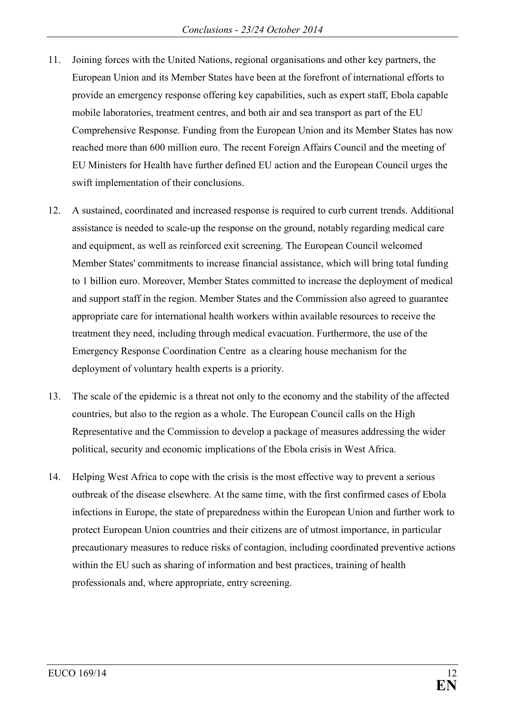- 11. Joining forces with the United Nations, regional organisations and other key partners, the European Union and its Member States have been at the forefront of international efforts to provide an emergency response offering key capabilities, such as expert staff, Ebola capable mobile laboratories, treatment centres, and both air and sea transport as part of the EU Comprehensive Response. Funding from the European Union and its Member States has now reached more than 600 million euro. The recent Foreign Affairs Council and the meeting of EU Ministers for Health have further defined EU action and the European Council urges the swift implementation of their conclusions.
- 12. A sustained, coordinated and increased response is required to curb current trends. Additional assistance is needed to scale-up the response on the ground, notably regarding medical care and equipment, as well as reinforced exit screening. The European Council welcomed Member States' commitments to increase financial assistance, which will bring total funding to 1 billion euro. Moreover, Member States committed to increase the deployment of medical and support staff in the region. Member States and the Commission also agreed to guarantee appropriate care for international health workers within available resources to receive the treatment they need, including through medical evacuation. Furthermore, the use of the Emergency Response Coordination Centre as a clearing house mechanism for the deployment of voluntary health experts is a priority.
- 13. The scale of the epidemic is a threat not only to the economy and the stability of the affected countries, but also to the region as a whole. The European Council calls on the High Representative and the Commission to develop a package of measures addressing the wider political, security and economic implications of the Ebola crisis in West Africa.
- 14. Helping West Africa to cope with the crisis is the most effective way to prevent a serious outbreak of the disease elsewhere. At the same time, with the first confirmed cases of Ebola infections in Europe, the state of preparedness within the European Union and further work to protect European Union countries and their citizens are of utmost importance, in particular precautionary measures to reduce risks of contagion, including coordinated preventive actions within the EU such as sharing of information and best practices, training of health professionals and, where appropriate, entry screening.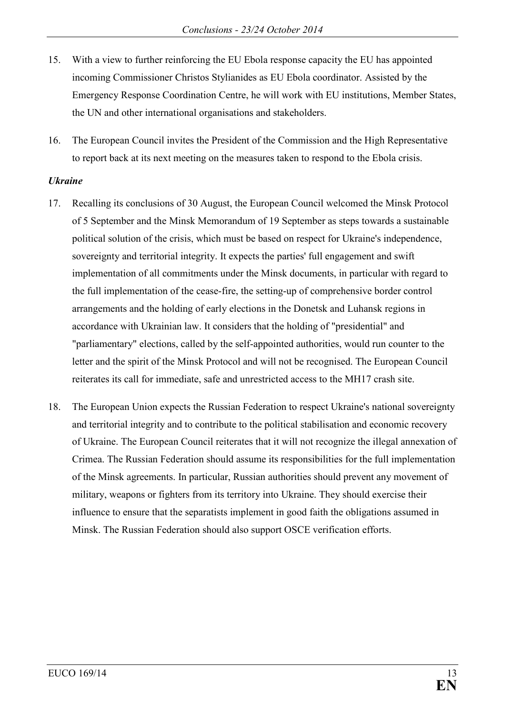- 15. With a view to further reinforcing the EU Ebola response capacity the EU has appointed incoming Commissioner Christos Stylianides as EU Ebola coordinator. Assisted by the Emergency Response Coordination Centre, he will work with EU institutions, Member States, the UN and other international organisations and stakeholders.
- 16. The European Council invites the President of the Commission and the High Representative to report back at its next meeting on the measures taken to respond to the Ebola crisis.

### *Ukraine*

- 17. Recalling its conclusions of 30 August, the European Council welcomed the Minsk Protocol of 5 September and the Minsk Memorandum of 19 September as steps towards a sustainable political solution of the crisis, which must be based on respect for Ukraine's independence, sovereignty and territorial integrity. It expects the parties' full engagement and swift implementation of all commitments under the Minsk documents, in particular with regard to the full implementation of the cease-fire, the setting-up of comprehensive border control arrangements and the holding of early elections in the Donetsk and Luhansk regions in accordance with Ukrainian law. It considers that the holding of "presidential" and "parliamentary" elections, called by the self-appointed authorities, would run counter to the letter and the spirit of the Minsk Protocol and will not be recognised. The European Council reiterates its call for immediate, safe and unrestricted access to the MH17 crash site.
- 18. The European Union expects the Russian Federation to respect Ukraine's national sovereignty and territorial integrity and to contribute to the political stabilisation and economic recovery of Ukraine. The European Council reiterates that it will not recognize the illegal annexation of Crimea. The Russian Federation should assume its responsibilities for the full implementation of the Minsk agreements. In particular, Russian authorities should prevent any movement of military, weapons or fighters from its territory into Ukraine. They should exercise their influence to ensure that the separatists implement in good faith the obligations assumed in Minsk. The Russian Federation should also support OSCE verification efforts.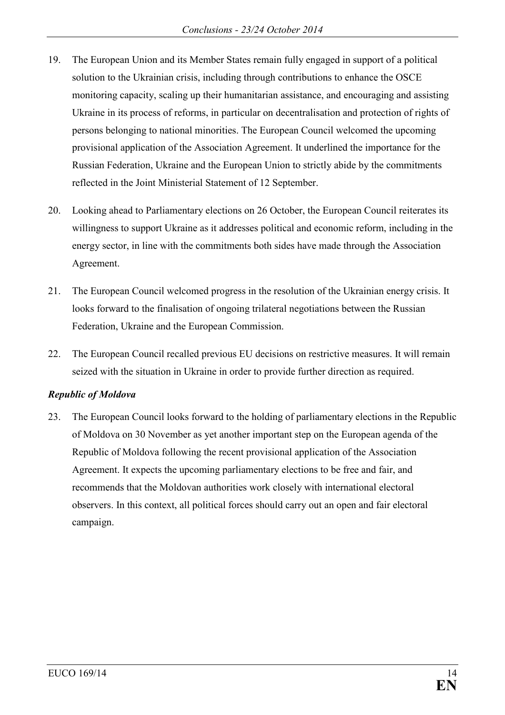- 19. The European Union and its Member States remain fully engaged in support of a political solution to the Ukrainian crisis, including through contributions to enhance the OSCE monitoring capacity, scaling up their humanitarian assistance, and encouraging and assisting Ukraine in its process of reforms, in particular on decentralisation and protection of rights of persons belonging to national minorities. The European Council welcomed the upcoming provisional application of the Association Agreement. It underlined the importance for the Russian Federation, Ukraine and the European Union to strictly abide by the commitments reflected in the Joint Ministerial Statement of 12 September.
- 20. Looking ahead to Parliamentary elections on 26 October, the European Council reiterates its willingness to support Ukraine as it addresses political and economic reform, including in the energy sector, in line with the commitments both sides have made through the Association Agreement.
- 21. The European Council welcomed progress in the resolution of the Ukrainian energy crisis. It looks forward to the finalisation of ongoing trilateral negotiations between the Russian Federation, Ukraine and the European Commission.
- 22. The European Council recalled previous EU decisions on restrictive measures. It will remain seized with the situation in Ukraine in order to provide further direction as required.

### *Republic of Moldova*

23. The European Council looks forward to the holding of parliamentary elections in the Republic of Moldova on 30 November as yet another important step on the European agenda of the Republic of Moldova following the recent provisional application of the Association Agreement. It expects the upcoming parliamentary elections to be free and fair, and recommends that the Moldovan authorities work closely with international electoral observers. In this context, all political forces should carry out an open and fair electoral campaign.